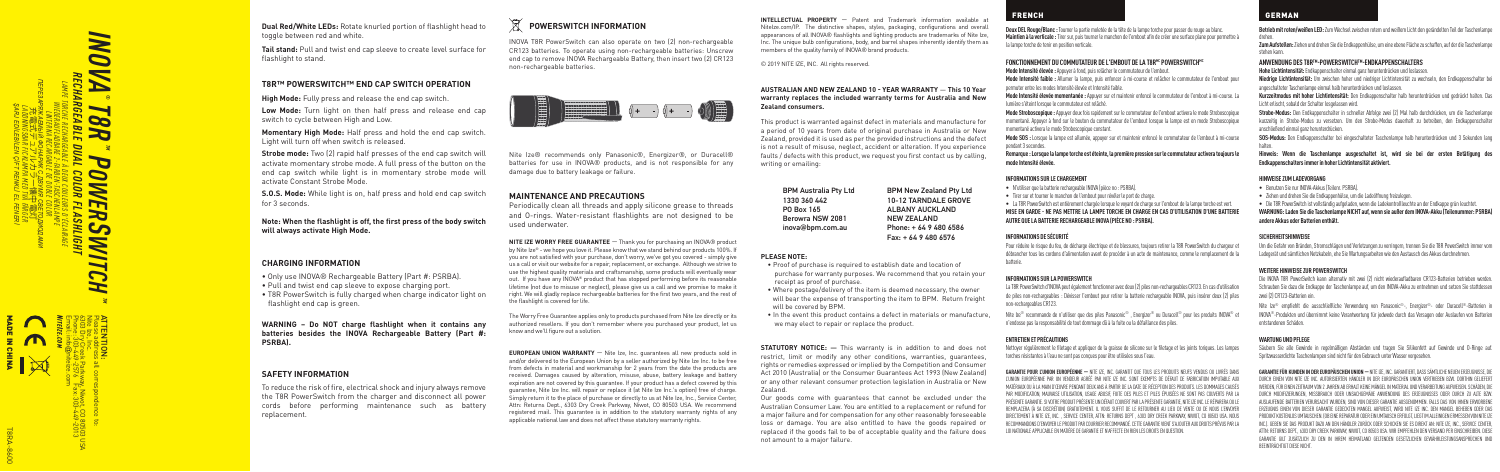*INOVA RECHARGEABLE DUAL COLOR FLASHLIGHT ПЕРЕЗАРЯЖАЕМЫЙ ФОНАРИК С ДВУМЯ СВЕТОДИОДАМИ LAMPE TORCHE RECHARGEABLE À DEUX COULEURS D'ÉCLAIRAGE SWITCH ® TM WIEDERAUFLADBARE 2-FARBEN-TASCHENLAMPE T8R LADDNINGSBAR FICKLAMPA MED TVÅ FÄRGER* 充電式デュアルカラー懐中電灯 *LINTERNA RECARGABLE DE DOBLE COLOR* ЫA *POWER*  $\overline{ }$  $\overline{c}$ **WITCH** 

*ŞARJ EDİLEBİLEN ÇİFT RENKLİ EL FENERİ*

*TM*

Email: info Phone: 303-449-2576 Fax: 303-449-2013 6303 Dry Creek Parkway, Niwot, CO 80503 USA Nite Ize, Inc. Please address all correspondence to: ATTENTION: @niteize.com *NITEIZE.COM* MADE IN CHINA

T8RA-8600

**Dual Red/White LEDs:** Rotate knurled portion of flashlight head to toggle between red and white.

**Tail stand:** Pull and twist end cap sleeve to create level surface for flashlight to stand.

# **T8R™ POWERSWITCH™ END CAP SWITCH OPERATION**

**High Mode:** Fully press and release the end cap switch.

**Low Mode:** Turn light on then half press and release end cap switch to cycle between High and Low.

**Momentary High Mode:** Half press and hold the end cap switch. Light will turn off when switch is released.

**Strobe mode:** Two (2) rapid half presses of the end cap switch will activate momentary strobe mode. A full press of the button on the end cap switch while light is in momentary strobe mode will activate Constant Strobe Mode.

**S.O.S. Mode:** While light is on, half press and hold end cap switch for 3 seconds.

# **Note: When the flashlight is off, the first press of the body switch will always activate High Mode.**

# **CHARGING INFORMATION**

• Only use INOVA® Rechargeable Battery (Part #: PSRBA). • Pull and twist end cap sleeve to expose charging port. • T8R PowerSwitch is fully charged when charge indicator light on flashlight end cap is green.

**WARNING – Do NOT charge flashlight when it contains any batteries besides the INOVA Rechargeable Battery (Part #: PSRBA).**

# **SAFETY INFORMATION**

To reduce the risk of fire, electrical shock and injury always remove the T8R PowerSwitch from the charger and disconnect all power cords before performing maintenance such as battery replacement.

# **POWERSWITCH INFORMATION**

INOVA T8R PowerSwitch can also operate on two (2) non-rechargeable CR123 batteries. To operate using non-rechargeable batteries: Unscrew end can to remove INOVA Rechargeable Battery, then insert two (2) CR123 non-rechargeable batteries.



Nite Ize® recommends only Panasonic®, Energizer®, or Duracell® batteries for use in INOVA® products, and is not responsible for any damage due to battery leakage or failure.

# **MAINTENANCE AND PRECAUTIONS**

Periodically clean all threads and apply silicone grease to threads and O-rings. Water-resistant flashlights are not designed to be used underwater.

**NITE IZE WORRY FREE GUARANTEE** — Thank you for purchasing an INOVA® product by Nite Ize® - we hope you love it. Please know that we stand behind our products 100%. If you are not satisfied with your purchase, don't worry, we've got you covered - simply give us a call or visit our website for a repair, replacement, or exchange. Although we strive to use the highest quality materials and craftsmanship, some products will eventually wear out. If you have any INOVA® product that has stopped performing before its reasonable lifetime (not due to misuse or neglect), please give us a call and we promise to make it right. We will gladly replace rechargeable batteries for the first two years, and the rest of the flashlight is covered for life.

The Worry Free Guarantee applies only to products purchased from Nite Ize directly or its authorized resellers. If you don't remember where you purchased your product, let us know and we'll figure out a solution.

**EUROPEAN UNION WARRANTY** — Nite Ize, Inc. guarantees all new products sold in and/or delivered to the European Union by a seller authorized by Nite Ize Inc. to be free from defects in material and workmanship for 2 years from the date the products are received. Damages caused by alteration, misuse, abuse, battery leakage and battery expiration are not covered by this guarantee. If your product has a defect covered by this guarantee, Nite Ize Inc. will repair or replace it (at Nite Ize Inc.'s option) free of charge. Simply return it to the place of purchase or directly to us at Nite Ize, Inc., Service Center, Attn: Returns Dept., 6303 Dry Creek Parkway, Niwot, CO 80503 USA. We recommend registered mail. This guarantee is in addition to the statutory warranty rights of any applicable national law and does not affect these statutory warranty rights.

**INTELLECTUAL PROPERTY** — Patent and Trademark information available at NiteIze.com/IP. The distinctive shapes, styles, packaging, configurations and overall appearances of all INOVA® flashlights and lighting products are trademarks of Nite Ize, Inc. The unique bulb configurations, body, and barrel shapes inherently identify them as members of the quality family of INOVA® brand products.

© 2019 NITE IZE, INC. All rights reserved.

#### **AUSTRALIAN AND NEW ZEALAND 10 - YEAR WARRANTY** — **This 10 Year warranty replaces the included warranty terms for Australia and New Zealand consumers.**

This product is warranted against defect in materials and manufacture for a period of 10 years from date of original purchase in Australia or New Zealand, provided it is used as per the provided instructions and the defect is not a result of misuse, neglect, accident or alteration. If you experience faults / defects with this product, we request you first contact us by calling, writing or emailing:

BPM Australia Pty Ltd 1330 360 442 PO Box 165 Berowra NSW 2081 inova@bpm.com.au BPM New Zealand Pty Ltd 10-12 TARNDALE GROVE ALBANY AUCKLAND NEW ZEALAND Phone: + 64 9 480 6586 Fax: + 64 9 480 6576

# **PLEASE NOTE:**

- Proof of purchase is required to establish date and location of purchase for warranty purposes. We recommend that you retain your receipt as proof of purchase.
- Where postage/delivery of the item is deemed necessary, the owner will bear the expense of transporting the item to BPM. Return freight will be covered by BPM.
- In the event this product contains a defect in materials or manufacture, we may elect to repair or replace the product.

**STATUTORY NOTICE:**  $-$  This warranty is in addition to and does not restrict, limit or modify any other conditions, warranties, guarantees, rights or remedies expressed or implied by the Competition and Consumer Act 2010 (Australia) or the Consumer Guarantees Act 1993 (New Zealand) or any other relevant consumer protection legislation in Australia or New Zealand.

# FRENCH GERMAN

**Deux DEL Rouge/Blanc :** Tourner la partie moletée de la tête de la lampe torche pour passer du rouge au blanc. **Maintien à la verticale :** Tirer sur, puis tourner le manchon de l'embout afin de créer une surface plane pour permettre à la lampe torche de tenir en position verticale.

#### FONCTIONNEMENT DU COMMUTATEUR DE L'EMBOUT DE LA T8R<sup>MC</sup> POWERSWITCH<sup>MC</sup>

**Mode Intensité élevée :** Appuyer à fond, puis relâcher le commutateur de l'embout. **Mode Intensité faible :** Allumer la lampe, puis enfoncer à mi-course et relâcher le commutateur de l'embout pour permuter entre les modes Intensité élevée et Intensité faible.

**Mode Intensité élevée momentanée :** Appuyer sur et maintenir enfoncé le commutateur de l'embout à mi-course. La lumière s'éteint lorsque le commutateur est relâché.

**Mode Stroboscopique :** Appuyer deux fois rapidement sur le commutateur de l'embout activera le mode Stroboscopique momentané. Appuyer à fond sur le bouton du commutateur de l'embout lorsque la lampe est en mode Stroboscopique momentané activera le mode Stroboscopique constant.

**Mode SOS :** Lorsque la lampe est allumée, appuyer sur et maintenir enfoncé le commutateur de l'embout à mi-course pendant 3 secondes.

**Remarque : Lorsque la lampe torche est éteinte, la première pression sur le commutateur activera toujours le mode Intensité élevée.**

# **INFORMATIONS SUR LE CHARGEMENT**

- N'utiliser que la batterie rechargeable INOVA (pièce no : PSRBA).
- Tirer sur et tourner le manchon de l'embout pour révéler le port de charge.

• La T8R PowerSwitch est entièrement chargée lorsque le voyant de charge sur l'embout de la lampe torche est vert. **MISE EN GARDE - NE PAS METTRE LA LAMPE TORCHE EN CHARGE EN CAS D'UTILISATION D'UNE BATTERIE AUTRE QUE LA BATTERIE RECHARGEABLE INOVA (PIÈCE NO : PSRBA).**

### **INFORMATIONS DE SÉCURITÉ**

Pour réduire le risque du feu, de décharge électrique et de blessures, toujours retirer la T8R PowerSwitch du chargeur et débrancher tous les cordons d'alimentation avant de procéder à un acte de maintenance, comme le remplacement de la batterie.

#### **INFORMATIONS SUR LA POWERSWITCH**

La T8R PowerSwitch d'INOVA peut également fonctionner avec deux (2) piles non-rechargeables CR123. En cas d'utilisation de piles non-rechargeables : Dévisser l'embout pour retirer la batterie rechargeable INOVA, puis insérer deux (2) piles non-rechargeables CR123.

Nite Ize® recommande de n'utiliser que des piles Panasonic® , Energizer® ou Duracell® pour les produits INOVA® et n'endosse pas la responsabilité de tout dommage dû à la fuite ou la défaillance des piles.

#### **ENTRETIEN ET PRÉCAUTIONS**

Nettoyer régulièrement le filetage et appliquer de la graisse de silicone sur le filetage et les joints toriques. Les lampes torches résistantes à l'eau ne sont pas conçues pour être utilisées sous l'eau.

**GARANTIE POUR L'UNION EUROPÉENNE —** NITE IZE, INC. GARANTIT QUE TOUS LES PRODUITS NEUFS VENDUS OU LIVRÉS DANS L'UNION EUROPÉENNE PAR UN VENDEUR AGRÉÉ PAR NITE IZE INC. SONT EXEMPTS DE DÉFAUT DE FABRICATION IMPUTABLE AUX MATÉRIAUX OU À LA MAIN D'ŒUVRE PENDANT DEUX ANS À PARTIR DE LA DATE DE RÉCEPTION DES PRODUITS. LES DOMMAGES CAUSÉS PAR MODIFICATION, MAUVAISE UTILISATION, USAGE ABUSIF, FUITE DES PILES ET PILES ÉPUISÉES NE SONT PAS COUVERTS PAR LA PRÉSENTE GARANTIE. SI VOTRE PRODUIT PRÉSENTE UN DÉFAUT COUVERT PAR LA PRÉSENTE GARANTIE, NITE IZE INC. LE RÉPARERA OU LE REMPLACERA (À SA DISCRÉTION) GRATUITEMENT. IL VOUS SUFFIT DE LE RETOURNER AU LIEU DE VENTE OU DE NOUS L'ENVOYER DIRECTEMENT À NITE IZE, INC. , SERVICE CENTER, ATTN: RETURNS DEPT , 6303 DRY CREEK PARKWAY, NIWOT, CO 80503 USA. NOUS RECOMMANDONS D'ENVOYER LE PRODUIT PAR COURRIER RECOMMANDÉ. CETTE GARANTIE VIENT S'AJOUTER AUX DROITS PRÉVUS PAR LA LOI NATIONALE APPLICABLE EN MATIÈRE DE GARANTIE ET N'AFFECTE EN RIEN LES DROITS EN QUESTION.

**Betrieb mit roten/weißen LED:** Zum Wechsel zwischen rotem und weißem Licht den gerändelten Teil der Taschenlampe drehen.

**Zum Aufstellen:** Ziehen und drehen Sie die Endkappenhülse, um eine ebene Fläche zu schaffen, auf der die Taschenlampe stehen kann.

# **ANWENDUNG DES T8R™-POWERSWITCH™-ENDKAPPENSCHALTERS**

**Hohe Lichtintensität:** Endkappenschalter einmal ganz herunterdrücken und loslassen. **Niedrige Lichtintensität:** Um zwischen hoher und niedriger Lichtintensität zu wechseln, den Endkappenschalter bei

angeschalteter Taschenlampe einmal halb herunterdrücken und loslassen.

**Kurzzeitmodus mit hoher Lichtintensität:** Den Endkappenschalter halb herunterdrücken und gedrückt halten. Das Licht erlischt, sobald der Schalter losgelassen wird.

**Strobe-Modus:** Den Endkappenschalter in schneller Abfolge zwei (2) Mal halb durchdrücken, um die Taschenlampe kurzzeitig in Strobe-Modus zu versetzen. Um den Strobe-Modus dauerhaft zu betreiben, den Endkappenschalter anschließend einmal ganz herunterdrücken.

**SOS-Modus:** Den Endkappenschalter bei eingeschalteter Taschenlampe halb herunterdrücken und 3 Sekunden lang

halten. **Hinweis: Wenn die Taschenlampe ausgeschaltet ist, wird sie bei der ersten Betätigung des Endkappenschalters immer in hoher Lichtintensität aktiviert.** 

### **HINWEISE ZUM LADEVORGANG**

- Benutzen Sie nur INOVA-Akkus (Teilenr. PSRBA).
- Ziehen und drehen Sie die Endkappenhülse, um die Ladeöffnung freizulegen.

• Die T8R PowerSwitch ist vollständig aufgeladen, wenn die Ladekontrollleuchte an der Endkappe grün leuchtet. **WARNUNG: Laden Sie die Taschenlampe NICHT auf, wenn sie außer dem INOVA-Akku (Teilenummer: PSRBA) andere Akkus oder Batterien enthält.** 

#### **SICHERHEITSHINWEISE**

Um die Gefahr von Bränden, Stromschlägen und Verletzungen zu verringern, trennen Sie die T8R PowerSwitch immer vom Ladegerät und sämtlichen Netzkabeln, ehe Sie Wartungsarbeiten wie den Austausch des Akkus durchnehmen.

#### **WEITERE HINWEISE ZUR POWERSWITCH**

Die INOVA T8R PowerSwitch kann alternativ mit zwei (2) nicht wiederaufladbaren CR123-Batterien betrieben werden. Schrauben Sie dazu die Endkappe der Taschenlampe auf, um den INOVA-Akku zu entnehmen und setzen Sie stattdessen zwei (2) CR123-Batterien ein.

Nite Ize® empfiehlt die ausschließliche Verwendung von Panasonic®-, Energizer®- oder Duracell®-Batterien in INOVA®-Produkten und übernimmt keine Verantwortung für jedwede durch das Versagen oder Auslaufen von Batterien entstandenen Schäden.

#### **WARTUNG UND PFLEGE**

Säubern Sie alle Gewinde in regelmäßigen Abständen und tragen Sie Silikonfett auf Gewinde und O-Ringe auf. Spritzwasserdichte Taschenlampen sind nicht für den Gebrauch unter Wasser vorgesehen.

**GARANTIE FÜR KUNDEN IN DER EUROPÄISCHEN UNION —** NITE IZE, INC. GARANTIERT, DASS SÄMTLICHE NEUEN ERZEUGNISSE, DIE DURCH EINEN VON NITE IZE INC. AUTORISIERTEN HÄNDLER IN DER EUROPÄISCHEN UNION VERTRIEBEN BZW. DORTHIN GELIEFER WERDEN, FÜR EINEN ZEITRAUM VON 2 JAHREN AB ERHALT KEINE MÄNGEL IN MATERIAL UND VERARBEITUNG AUFWEISEN. SCHÄDEN, DIE DURCH MODIFIZIERUNGEN, MISSBRAUCH ODER UNSACHGEMÄßE ANWENDUNG DES ERZEUGNISSES ODER DURCH ZU ALTE BZW. AUSLAUFENDE BATTERIEN VERURSACHT WURDEN, SIND VON DIESER GARANTIE AUSGENOMMEN. FALLS DAS VON IHNEN ERWORBEN ERZEUGNIS EINEN VON DIESER GARANTIE GEDECKTEN MANGEL AUFWEIST, WIRD NITE IZE INC. DEN MANGEL BEHEBEN ODER DAS PRODUKT KOSTENLOS UMTAUSCHEN. (OB EINE REPARATUR ODER EIN UMTAUSCH ERFOLGT, LIEGT IM ALLEINIGEN ERMESSEN VON NITE IZ INC.). GEBEN SIE DAS PRODUKT DAZU AN DEN HÄNDLER ZURÜCK ODER SCHICKEN SIE ES DIREKT AN: NITE IZE, INC., SERVICE CENTER, ATTN: RETURNS DEPT., 6303 DRY CREEK PARKWAY, NIWOT, CO 80503 USA. WIR EMPFEHLEN DEN VERSAND PER EINSCHREIBEN. DIESE GARANTIE GILT ZUSÄTZLICH ZU DEN IN IHREM HEIMATLAND GELTENDEN GESETZLICHEN GEWÄHRLEISTUNGSANSPRÜCHEN UND BEEINTRÄCHTIGT DIESE NICHT.

Our goods come with guarantees that cannot be excluded under the Australian Consumer Law. You are entitled to a replacement or refund for a major failure and for compensation for any other reasonably foreseeable loss or damage. You are also entitled to have the goods repaired or replaced if the goods fail to be of acceptable quality and the failure does not amount to a major failure.